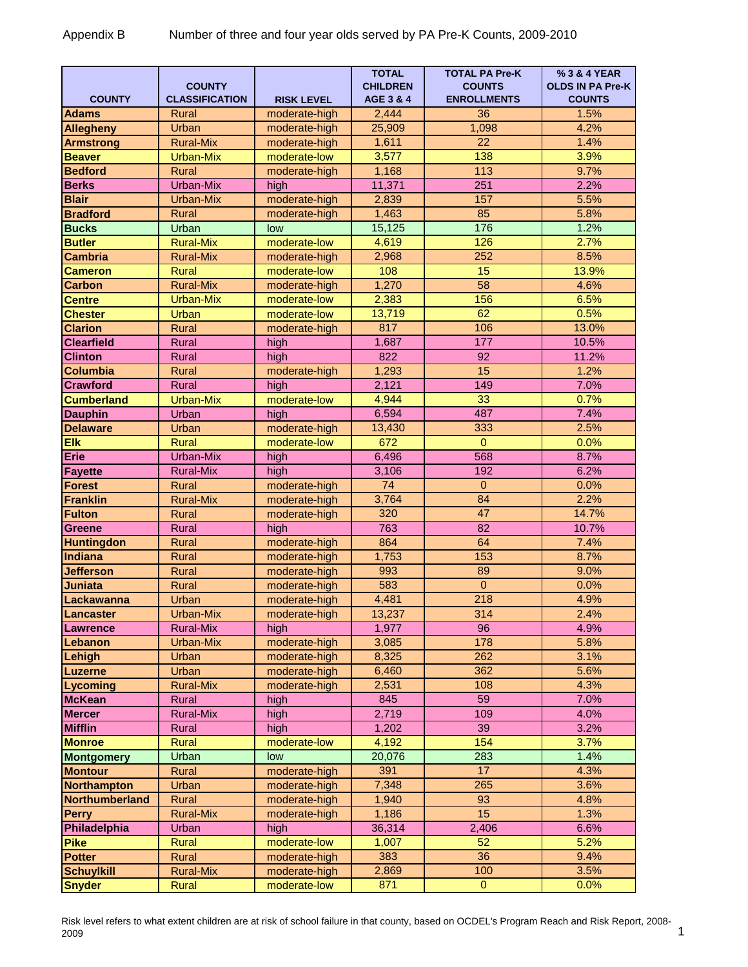## Appendix B Number of three and four year olds served by PA Pre-K Counts, 2009-2010

| <b>COUNTY</b>         | <b>COUNTY</b><br><b>CLASSIFICATION</b> | <b>RISK LEVEL</b> | <b>TOTAL</b><br><b>CHILDREN</b><br>AGE 3 & 4 | <b>TOTAL PA Pre-K</b><br><b>COUNTS</b><br><b>ENROLLMENTS</b> | % 3 & 4 YEAR<br><b>OLDS IN PA Pre-K</b><br><b>COUNTS</b> |
|-----------------------|----------------------------------------|-------------------|----------------------------------------------|--------------------------------------------------------------|----------------------------------------------------------|
| <b>Adams</b>          | <b>Rural</b>                           | moderate-high     | 2,444                                        | 36                                                           | 1.5%                                                     |
| <b>Allegheny</b>      | Urban                                  | moderate-high     | 25,909                                       | 1,098                                                        | 4.2%                                                     |
| <b>Armstrong</b>      | <b>Rural-Mix</b>                       | moderate-high     | 1,611                                        | $\overline{22}$                                              | 1.4%                                                     |
| <b>Beaver</b>         | Urban-Mix                              | moderate-low      | 3,577                                        | 138                                                          | 3.9%                                                     |
| <b>Bedford</b>        | Rural                                  | moderate-high     | 1,168                                        | 113                                                          | 9.7%                                                     |
| <b>Berks</b>          | Urban-Mix                              | high              | 11,371                                       | 251                                                          | 2.2%                                                     |
| <b>Blair</b>          | Urban-Mix                              | moderate-high     | 2,839                                        | 157                                                          | 5.5%                                                     |
| <b>Bradford</b>       | Rural                                  | moderate-high     | 1,463                                        | 85                                                           | 5.8%                                                     |
| <b>Bucks</b>          | Urban                                  | low               | 15,125                                       | 176                                                          | 1.2%                                                     |
| <b>Butler</b>         | <b>Rural-Mix</b>                       | moderate-low      | 4,619                                        | 126                                                          | 2.7%                                                     |
| <b>Cambria</b>        | <b>Rural-Mix</b>                       | moderate-high     | 2,968                                        | 252                                                          | 8.5%                                                     |
| <b>Cameron</b>        | Rural                                  | moderate-low      | 108                                          | 15                                                           | 13.9%                                                    |
| Carbon                | <b>Rural-Mix</b>                       | moderate-high     | 1,270                                        | $\overline{58}$                                              | 4.6%                                                     |
| <b>Centre</b>         | <b>Urban-Mix</b>                       | moderate-low      | 2,383                                        | 156                                                          | 6.5%                                                     |
| <b>Chester</b>        | Urban                                  | moderate-low      | 13,719                                       | 62                                                           | 0.5%                                                     |
| <b>Clarion</b>        | Rural                                  | moderate-high     | 817                                          | 106                                                          | 13.0%                                                    |
| <b>Clearfield</b>     | Rural                                  | high              | 1,687                                        | 177                                                          | 10.5%                                                    |
| <b>Clinton</b>        | Rural                                  | high              | 822                                          | $\overline{92}$                                              | 11.2%                                                    |
| <b>Columbia</b>       | Rural                                  | moderate-high     | 1,293                                        | 15                                                           | 1.2%                                                     |
| <b>Crawford</b>       | Rural                                  | high              | 2,121                                        | 149                                                          | 7.0%                                                     |
| <b>Cumberland</b>     | <b>Urban-Mix</b>                       | moderate-low      | 4,944                                        | 33                                                           | 0.7%                                                     |
| <b>Dauphin</b>        | Urban                                  | high              | 6,594                                        | 487                                                          | 7.4%                                                     |
| <b>Delaware</b>       | Urban                                  | moderate-high     | 13,430                                       | 333                                                          | 2.5%                                                     |
| <b>Elk</b>            | <b>Rural</b>                           | moderate-low      | 672                                          | $\mathbf{0}$                                                 | 0.0%                                                     |
| <b>Erie</b>           | Urban-Mix                              | high              | 6,496                                        | 568                                                          | 8.7%                                                     |
| <b>Fayette</b>        | <b>Rural-Mix</b>                       | high              | 3,106                                        | 192                                                          | 6.2%                                                     |
| <b>Forest</b>         | <b>Rural</b>                           | moderate-high     | 74                                           | $\overline{0}$                                               | 0.0%                                                     |
| <b>Franklin</b>       | <b>Rural-Mix</b>                       | moderate-high     | 3,764                                        | 84                                                           | 2.2%                                                     |
| <b>Fulton</b>         | Rural                                  | moderate-high     | 320                                          | 47                                                           | 14.7%                                                    |
| <b>Greene</b>         | <b>Rural</b>                           | high              | 763                                          | 82                                                           | 10.7%                                                    |
| <b>Huntingdon</b>     | Rural                                  | moderate-high     | 864                                          | 64                                                           | 7.4%                                                     |
| <b>Indiana</b>        | Rural                                  | moderate-high     | 1,753                                        | 153                                                          | 8.7%                                                     |
| <b>Jefferson</b>      | Rural                                  | moderate-high     | 993                                          | 89                                                           | 9.0%                                                     |
| Juniata               | Rural                                  | moderate-high     | 583                                          | $\overline{0}$                                               | 0.0%                                                     |
| Lackawanna            | Urban                                  | moderate-high     | 4,481                                        | 218                                                          | 4.9%                                                     |
| Lancaster             | Urban-Mix                              | moderate-high     | 13,237                                       | 314                                                          | 2.4%                                                     |
| <b>Lawrence</b>       | <b>Rural-Mix</b>                       | high              | 1,977                                        | 96                                                           | 4.9%                                                     |
| Lebanon               | Urban-Mix                              | moderate-high     | 3,085                                        | 178                                                          | 5.8%                                                     |
| Lehigh                | Urban                                  | moderate-high     | 8,325                                        | 262                                                          | 3.1%                                                     |
| <b>Luzerne</b>        | Urban                                  | moderate-high     | 6,460                                        | 362                                                          | 5.6%                                                     |
| Lycoming              | <b>Rural-Mix</b>                       | moderate-high     | 2,531                                        | 108                                                          | 4.3%                                                     |
| <b>McKean</b>         | Rural                                  | high              | 845                                          | 59                                                           | 7.0%                                                     |
| <b>Mercer</b>         | <b>Rural-Mix</b>                       | high              | 2,719                                        | 109                                                          | 4.0%                                                     |
| <b>Mifflin</b>        | Rural                                  | high              | 1,202                                        | 39                                                           | 3.2%                                                     |
| <b>Monroe</b>         | Rural                                  | moderate-low      | 4,192                                        | 154                                                          | 3.7%                                                     |
| <b>Montgomery</b>     | Urban                                  | low               | 20,076                                       | 283                                                          | 1.4%                                                     |
| <b>Montour</b>        | Rural                                  | moderate-high     | 391                                          | 17                                                           | 4.3%                                                     |
| <b>Northampton</b>    | Urban                                  | moderate-high     | 7,348                                        | 265                                                          | 3.6%                                                     |
| <b>Northumberland</b> | Rural                                  | moderate-high     | 1,940                                        | 93                                                           | 4.8%                                                     |
| <b>Perry</b>          | Rural-Mix                              | moderate-high     | 1,186                                        | 15                                                           | 1.3%                                                     |
| Philadelphia          | Urban                                  | high              | 36,314                                       | 2,406                                                        | 6.6%                                                     |
| <b>Pike</b>           | Rural                                  | moderate-low      | 1,007                                        | 52                                                           | 5.2%                                                     |
| <b>Potter</b>         | Rural                                  | moderate-high     | 383                                          | 36                                                           | 9.4%                                                     |
| <b>Schuylkill</b>     | <b>Rural-Mix</b>                       | moderate-high     | 2,869                                        | 100                                                          | 3.5%                                                     |
| <b>Snyder</b>         | Rural                                  | moderate-low      | 871                                          | $\overline{0}$                                               | 0.0%                                                     |